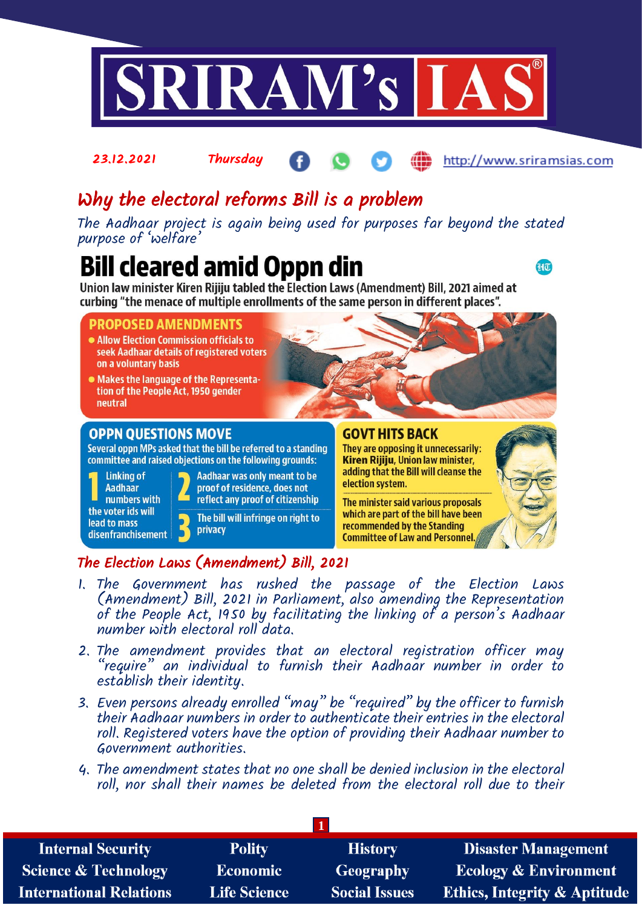

# Why the electoral reforms Bill is a problem

The Aadhaar project is again being used for purposes far beyond the stated purpose of 'welfare'

# **Bill cleared amid Oppn din**

 $\mathbf{d}$ t $\overline{\mathbf{u}}$ 

Union law minister Kiren Rijiju tabled the Election Laws (Amendment) Bill, 2021 aimed at curbing "the menace of multiple enrollments of the same person in different places".

### **PROPOSED AMENDMENTS**

- Allow Election Commission officials to seek Aadhaar details of registered voters on a voluntary basis
- Makes the language of the Representation of the People Act, 1950 gender neutral

### **OPPN QUESTIONS MOVE**

Several oppn MPs asked that the bill be referred to a standing committee and raised objections on the following grounds:

**Linking of Aadhaar** numbers with the voter ids will lead to mass disenfranchisement



The bill will infringe on right to privacy

### The Election Laws (Amendment) Bill, 2021

- 1. The Government has rushed the passage of the Election Laws (Amendment) Bill, 2021 in Parliament, also amending the Representation of the People Act, 1950 by facilitating the linking of a person's Aadhaar number with electoral roll data.
- 2. The amendment provides that an electoral registration officer may "require" an individual to furnish their Aadhaar number in order to establish their identity.
- 3. Even persons already enrolled "may" be "required" by the officer to furnish their Aadhaar numbers in order to authenticate their entries in the electoral roll. Registered voters have the option of providing their Aadhaar number to Government authorities.
- 4. The amendment states that no one shall be denied inclusion in the electoral roll, nor shall their names be deleted from the electoral roll due to their

| <b>Internal Security</b>        | <b>Polity</b>       | <b>History</b>       | <b>Disaster Management</b>              |
|---------------------------------|---------------------|----------------------|-----------------------------------------|
| <b>Science &amp; Technology</b> | <b>Economic</b>     | Geography            | <b>Ecology &amp; Environment</b>        |
| <b>International Relations</b>  | <b>Life Science</b> | <b>Social Issues</b> | <b>Ethics, Integrity &amp; Aptitude</b> |



### **GOVT HITS BACK**

They are opposing it unnecessarily: Kiren Rijiju, Union law minister, adding that the Bill will cleanse the election system.

The minister said various proposals which are part of the bill have been recommended by the Standing **Committee of Law and Personnel**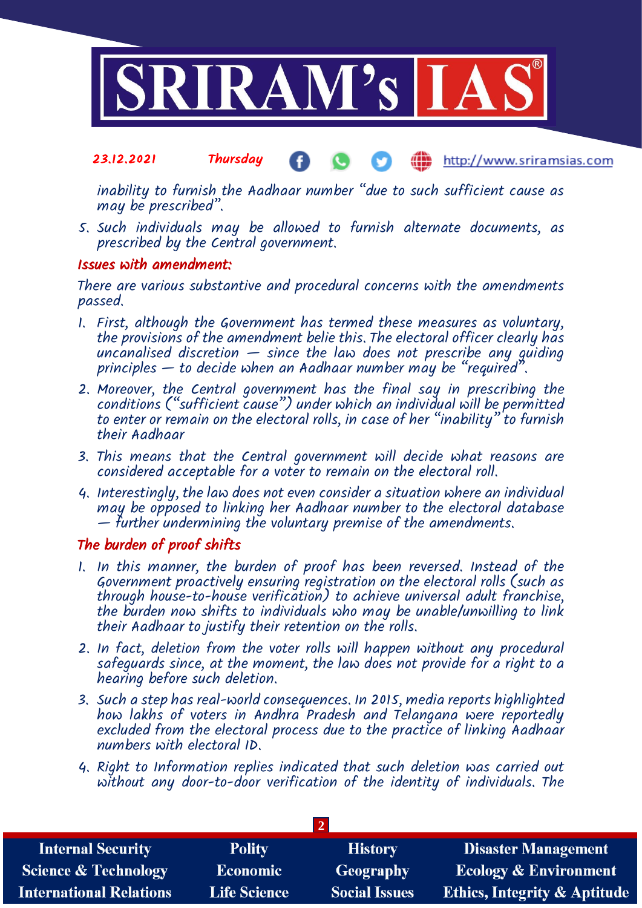

inability to furnish the Aadhaar number "due to such sufficient cause as may be prescribed".

5. Such individuals may be allowed to furnish alternate documents, as prescribed by the Central government.

### Issues with amendment:

There are various substantive and procedural concerns with the amendments passed.

- 1. First, although the Government has termed these measures as voluntary, the provisions of the amendment belie this. The electoral officer clearly has uncanalised discretion  $-$  since the law does not prescribe any guiding principles  $-$  to decide when an Aadhaar number may be "required".
- 2. Moreover, the Central government has the final say in prescribing the conditions ("sufficient cause") under which an individual will be permitted to enter or remain on the electoral rolls, in case of her "inability" to furnish their Aadhaar
- 3. This means that the Central government will decide what reasons are considered acceptable for a voter to remain on the electoral roll.
- 4. Interestingly, the law does not even consider a situation where an individual may be opposed to linking her Aadhaar number to the electoral database — further undermining the voluntary premise of the amendments.

### The burden of proof shifts

- 1. In this manner, the burden of proof has been reversed. Instead of the Government proactively ensuring registration on the electoral rolls (such as through house-to-house verification) to achieve universal adult franchise, the burden now shifts to individuals who may be unable/unwilling to link their Aadhaar to justify their retention on the rolls.
- 2. In fact, deletion from the voter rolls will happen without any procedural safeguards since, at the moment, the law does not provide for a right to a hearing before such deletion.
- 3. Such a step has real-world consequences. In 2015, media reports highlighted how lakhs of voters in Andhra Pradesh and Telangana were reportedly excluded from the electoral process due to the practice of linking *Aadhaar* numbers with electoral ID.
- 4. Right to Information replies indicated that such deletion was carried out without any door-to-door verification of the identity of individuals. The

| <b>Internal Security</b>        | <b>Polity</b>       | <b>History</b>       | <b>Disaster Management</b>              |
|---------------------------------|---------------------|----------------------|-----------------------------------------|
| <b>Science &amp; Technology</b> | <b>Economic</b>     | Geography            | <b>Ecology &amp; Environment</b>        |
| <b>International Relations</b>  | <b>Life Science</b> | <b>Social Issues</b> | <b>Ethics, Integrity &amp; Aptitude</b> |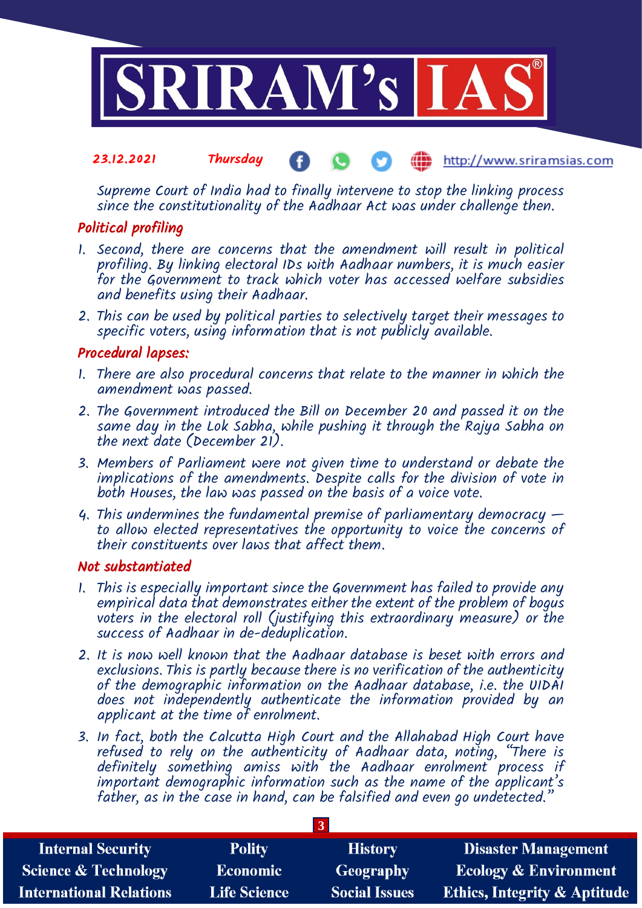

Supreme Court of India had to finally intervene to stop the linking process since the constitutionality of the Aadhaar Act was under challenge then.

### Political profiling

- 1. Second, there are concerns that the amendment will result in political profiling. By linking electoral IDs with Aadhaar numbers, it is much easier for the Government to track which voter has accessed welfare subsidies and benefits using their Aadhaar.
- 2. This can be used by political parties to selectively target their messages to specific voters, using information that is not publicly available.

### Procedural lapses:

- 1. There are also procedural concerns that relate to the manner in which the amendment was passed.
- 2. The Government introduced the Bill on December 20 and passed it on the same day in the Lok Sabha, while pushing it through the Rajya Sabha on the next date (December 21).
- 3. Members of Parliament were not given time to understand or debate the implications of the amendments. Despite calls for the division of vote in both Houses, the law was passed on the basis of a voice vote.
- 4. This undermines the fundamental premise of parliamentary democracy  $$ to allow elected representatives the opportunity to voice the concerns of their constituents over laws that affect them.

### Not substantiated

- 1. This is especially important since the Government has failed to provide any empirical data that demonstrates either the extent of the problem of bogus voters in the electoral roll (justifying this extraordinary measure) or the success of Aadhaar in de-deduplication.
- 2. It is now well known that the Aadhaar database is beset with errors and exclusions. This is partly because there is no verification of the authenticity of the demographic information on the Aadhaar database, i.e. the UIDAI does not independently authenticate the information provided by an applicant at the time of enrolment.
- 3. In fact, both the Calcutta High Court and the Allahabad High Court have refused to rely on the authenticity of Aadhaar data, noting, "There is definitely something amiss with the Aadhaar enrolment process if important demographic information such as the name of the applicant's father, as in the case in hand, can be falsified and even go undetected."

| <b>Internal Security</b>        | <b>Polity</b>       | <b>History</b>       | <b>Disaster Management</b>              |
|---------------------------------|---------------------|----------------------|-----------------------------------------|
| <b>Science &amp; Technology</b> | <b>Economic</b>     | Geography            | <b>Ecology &amp; Environment</b>        |
| <b>International Relations</b>  | <b>Life Science</b> | <b>Social Issues</b> | <b>Ethics, Integrity &amp; Aptitude</b> |

**3**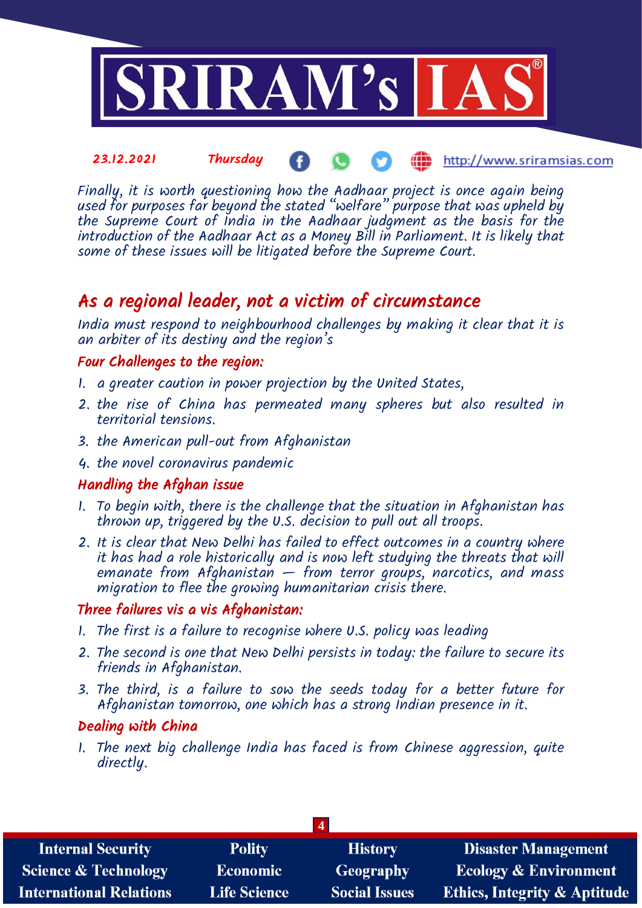

Finally, it is worth questioning how the Aadhaar project is once again being used for purposes far beyond the stated "welfare" purpose that was upheld by the Supreme Court of India in the Aadhaar judgment as the basis for the introduction of the Aadhaar Act as a Money Bill in Parliament. It is likely that some of these issues will be litigated before the Supreme Court.

## As a regional leader, not a victim of circumstance

India must respond to neighbourhood challenges by making it clear that it is an arbiter of its destiny and the region's

### Four Challenges to the region:

- 1. a greater caution in power projection by the United States,
- 2. the rise of China has permeated many spheres but also resulted in territorial tensions.
- 3. the American pull-out from Afghanistan
- 4. the novel coronavirus pandemic

### Handling the Afghan issue

- 1. To begin with, there is the challenge that the situation in Afghanistan has thrown up, triggered by the U.S. decision to pull out all troops.
- 2. It is clear that New Delhi has failed to effect outcomes in a country where it has had a role historically and is now left studying the threats that will emanate from Afghanistan  $-$  from terror groups, narcotics, and mass migration to flee the growing humanitarian crisis there.

### Three failures vis a vis Afghanistan:

- 1. The first is a failure to recognise where U.S. policy was leading
- 2. The second is one that New Delhi persists in today: the failure to secure its friends in Afghanistan.
- 3. The third, is a failure to sow the seeds today for a better future for Afghanistan tomorrow, one which has a strong Indian presence in it.

### Dealing with China

1. The next big challenge India has faced is from Chinese aggression, quite directly.

| <b>Internal Security</b>        | <b>Polity</b>       | <b>History</b>       | <b>Disaster Management</b>              |
|---------------------------------|---------------------|----------------------|-----------------------------------------|
| <b>Science &amp; Technology</b> | <b>Economic</b>     | Geography            | <b>Ecology &amp; Environment</b>        |
| <b>International Relations</b>  | <b>Life Science</b> | <b>Social Issues</b> | <b>Ethics, Integrity &amp; Aptitude</b> |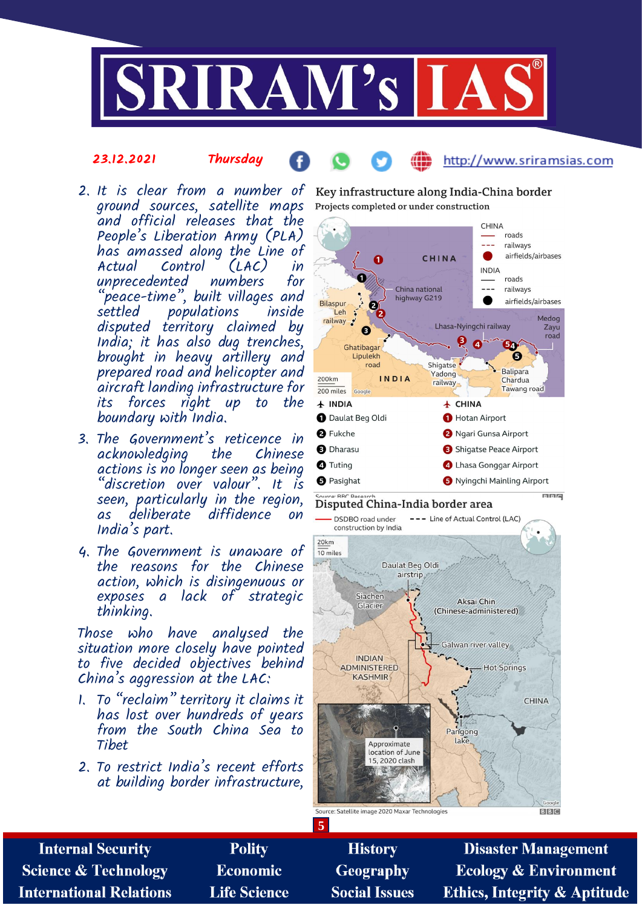

### 23.12.2021 Thursday

### http://www.sriramsias.com

- ground sources, satellite maps and official releases that the People's Liberation Army (PLA) has amassed along the Line of  $Control$   $(LAC)$  in unprecedented numbers for "p<sup>'</sup>eace-time", built villages and<br>settled populations inside populations disputed territory claimed by India; it has also dug trenches, brought in heavy artillery and prepared road and helicopter and aircraft landing infrastructure for its forces right up to the boundary with India.
- 3. The Government's reticence in acknowledging actions is no longer seen as being  $'$ discretion over valour". It is seen, particularly in the region, as deliberate diffidence on India's part.
- 4. The Government is unaware of the reasons for the Chinese action, which is disingenuous or exposes a lack of strategic thinking.

Those who have analysed the situation more closely have pointed to five decided objectives behind China's aggression at the LAC:

- 1. To "reclaim" territory it claims it has lost over hundreds of years from the South China Sea to Tibet
- 2. To restrict India's recent efforts at building border infrastructure,

2. It is clear from a number of Key infrastructure along India-China border Projects completed or under construction



### Disputed China-India border area



**Internal Security Polity History Disaster Management Science & Technology Economic Geography Ecology & Environment Life Science International Relations Social Issues Ethics, Integrity & Aptitude** 

**5**